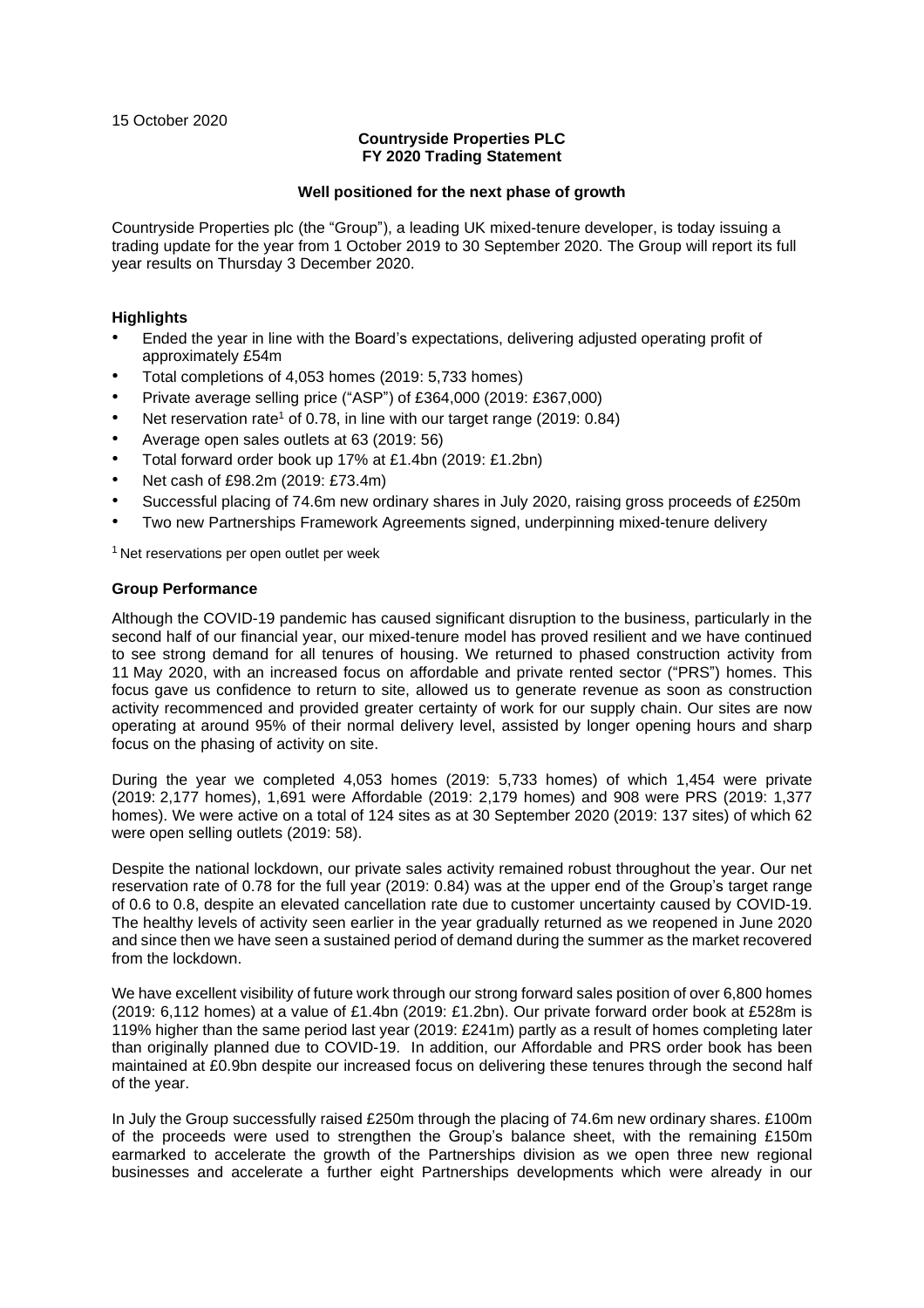15 October 2020

# **Countryside Properties PLC FY 2020 Trading Statement**

#### **Well positioned for the next phase of growth**

Countryside Properties plc (the "Group"), a leading UK mixed-tenure developer, is today issuing a trading update for the year from 1 October 2019 to 30 September 2020. The Group will report its full year results on Thursday 3 December 2020.

## **Highlights**

- Ended the year in line with the Board's expectations, delivering adjusted operating profit of approximately £54m
- Total completions of 4,053 homes (2019: 5,733 homes)
- Private average selling price ("ASP") of £364,000 (2019: £367,000)
- Net reservation rate<sup>1</sup> of 0.78, in line with our target range  $(2019: 0.84)$
- Average open sales outlets at 63 (2019: 56)
- Total forward order book up 17% at £1.4bn (2019: £1.2bn)
- Net cash of £98.2m (2019: £73.4m)
- Successful placing of 74.6m new ordinary shares in July 2020, raising gross proceeds of £250m
- Two new Partnerships Framework Agreements signed, underpinning mixed-tenure delivery

<sup>1</sup> Net reservations per open outlet per week

## **Group Performance**

Although the COVID-19 pandemic has caused significant disruption to the business, particularly in the second half of our financial year, our mixed-tenure model has proved resilient and we have continued to see strong demand for all tenures of housing. We returned to phased construction activity from 11 May 2020, with an increased focus on affordable and private rented sector ("PRS") homes. This focus gave us confidence to return to site, allowed us to generate revenue as soon as construction activity recommenced and provided greater certainty of work for our supply chain. Our sites are now operating at around 95% of their normal delivery level, assisted by longer opening hours and sharp focus on the phasing of activity on site.

During the year we completed 4,053 homes (2019: 5,733 homes) of which 1,454 were private (2019: 2,177 homes), 1,691 were Affordable (2019: 2,179 homes) and 908 were PRS (2019: 1,377 homes). We were active on a total of 124 sites as at 30 September 2020 (2019: 137 sites) of which 62 were open selling outlets (2019: 58).

Despite the national lockdown, our private sales activity remained robust throughout the year. Our net reservation rate of 0.78 for the full year (2019: 0.84) was at the upper end of the Group's target range of 0.6 to 0.8, despite an elevated cancellation rate due to customer uncertainty caused by COVID-19. The healthy levels of activity seen earlier in the year gradually returned as we reopened in June 2020 and since then we have seen a sustained period of demand during the summer as the market recovered from the lockdown.

We have excellent visibility of future work through our strong forward sales position of over 6,800 homes (2019: 6,112 homes) at a value of £1.4bn (2019: £1.2bn). Our private forward order book at £528m is 119% higher than the same period last year (2019: £241m) partly as a result of homes completing later than originally planned due to COVID-19. In addition, our Affordable and PRS order book has been maintained at £0.9bn despite our increased focus on delivering these tenures through the second half of the year.

In July the Group successfully raised £250m through the placing of 74.6m new ordinary shares. £100m of the proceeds were used to strengthen the Group's balance sheet, with the remaining £150m earmarked to accelerate the growth of the Partnerships division as we open three new regional businesses and accelerate a further eight Partnerships developments which were already in our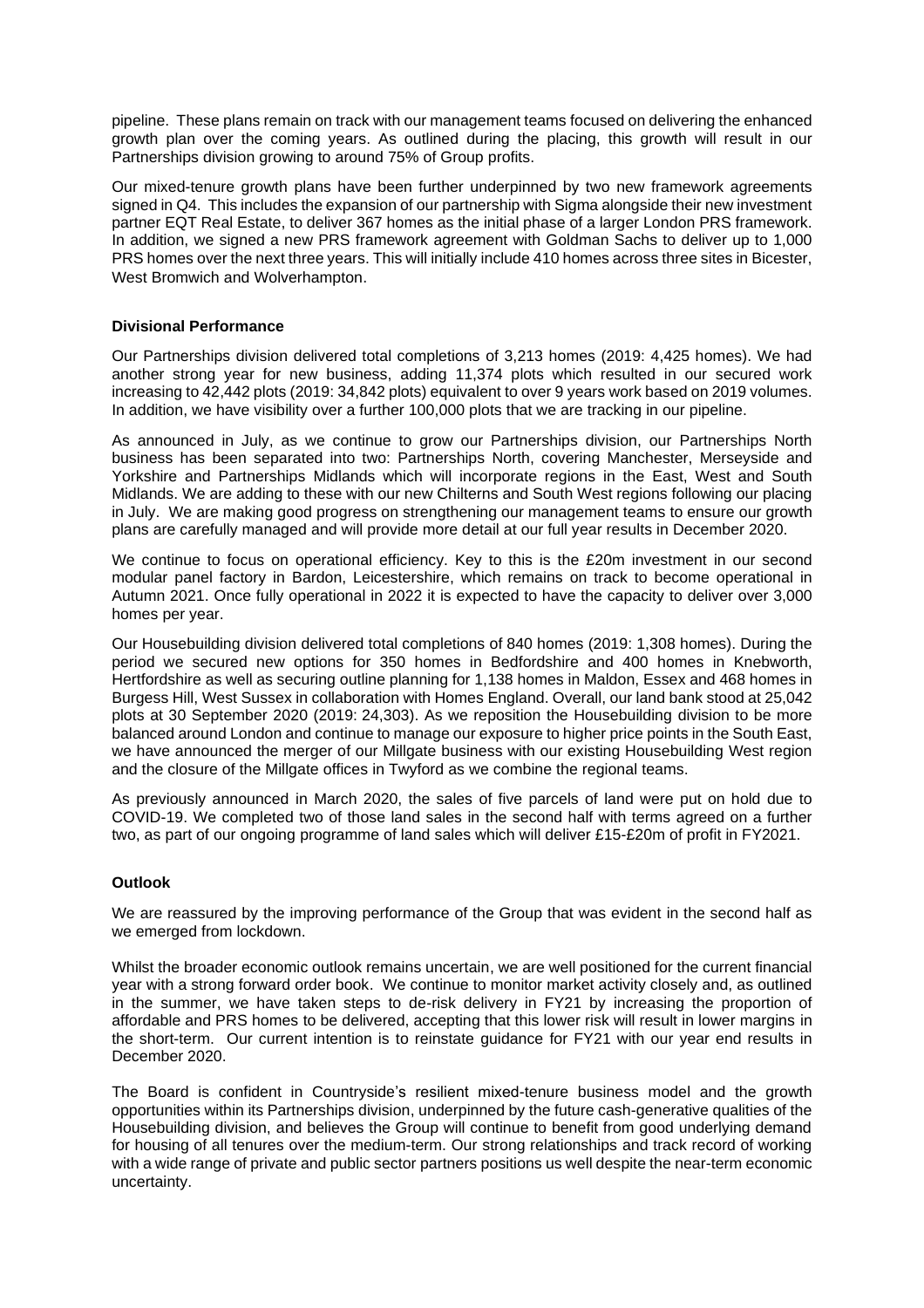pipeline. These plans remain on track with our management teams focused on delivering the enhanced growth plan over the coming years. As outlined during the placing, this growth will result in our Partnerships division growing to around 75% of Group profits.

Our mixed-tenure growth plans have been further underpinned by two new framework agreements signed in Q4. This includes the expansion of our partnership with Sigma alongside their new investment partner EQT Real Estate, to deliver 367 homes as the initial phase of a larger London PRS framework. In addition, we signed a new PRS framework agreement with Goldman Sachs to deliver up to 1,000 PRS homes over the next three years. This will initially include 410 homes across three sites in Bicester, West Bromwich and Wolverhampton.

# **Divisional Performance**

Our Partnerships division delivered total completions of 3,213 homes (2019: 4,425 homes). We had another strong year for new business, adding 11,374 plots which resulted in our secured work increasing to 42,442 plots (2019: 34,842 plots) equivalent to over 9 years work based on 2019 volumes. In addition, we have visibility over a further 100,000 plots that we are tracking in our pipeline.

As announced in July, as we continue to grow our Partnerships division, our Partnerships North business has been separated into two: Partnerships North, covering Manchester, Merseyside and Yorkshire and Partnerships Midlands which will incorporate regions in the East, West and South Midlands. We are adding to these with our new Chilterns and South West regions following our placing in July. We are making good progress on strengthening our management teams to ensure our growth plans are carefully managed and will provide more detail at our full year results in December 2020.

We continue to focus on operational efficiency. Key to this is the £20m investment in our second modular panel factory in Bardon, Leicestershire, which remains on track to become operational in Autumn 2021. Once fully operational in 2022 it is expected to have the capacity to deliver over 3,000 homes per year.

Our Housebuilding division delivered total completions of 840 homes (2019: 1,308 homes). During the period we secured new options for 350 homes in Bedfordshire and 400 homes in Knebworth, Hertfordshire as well as securing outline planning for 1,138 homes in Maldon, Essex and 468 homes in Burgess Hill, West Sussex in collaboration with Homes England. Overall, our land bank stood at 25,042 plots at 30 September 2020 (2019: 24,303). As we reposition the Housebuilding division to be more balanced around London and continue to manage our exposure to higher price points in the South East, we have announced the merger of our Millgate business with our existing Housebuilding West region and the closure of the Millgate offices in Twyford as we combine the regional teams.

As previously announced in March 2020, the sales of five parcels of land were put on hold due to COVID-19. We completed two of those land sales in the second half with terms agreed on a further two, as part of our ongoing programme of land sales which will deliver £15-£20m of profit in FY2021.

# **Outlook**

We are reassured by the improving performance of the Group that was evident in the second half as we emerged from lockdown.

Whilst the broader economic outlook remains uncertain, we are well positioned for the current financial year with a strong forward order book. We continue to monitor market activity closely and, as outlined in the summer, we have taken steps to de-risk delivery in FY21 by increasing the proportion of affordable and PRS homes to be delivered, accepting that this lower risk will result in lower margins in the short-term. Our current intention is to reinstate guidance for FY21 with our year end results in December 2020.

The Board is confident in Countryside's resilient mixed-tenure business model and the growth opportunities within its Partnerships division, underpinned by the future cash-generative qualities of the Housebuilding division, and believes the Group will continue to benefit from good underlying demand for housing of all tenures over the medium-term. Our strong relationships and track record of working with a wide range of private and public sector partners positions us well despite the near-term economic uncertainty.